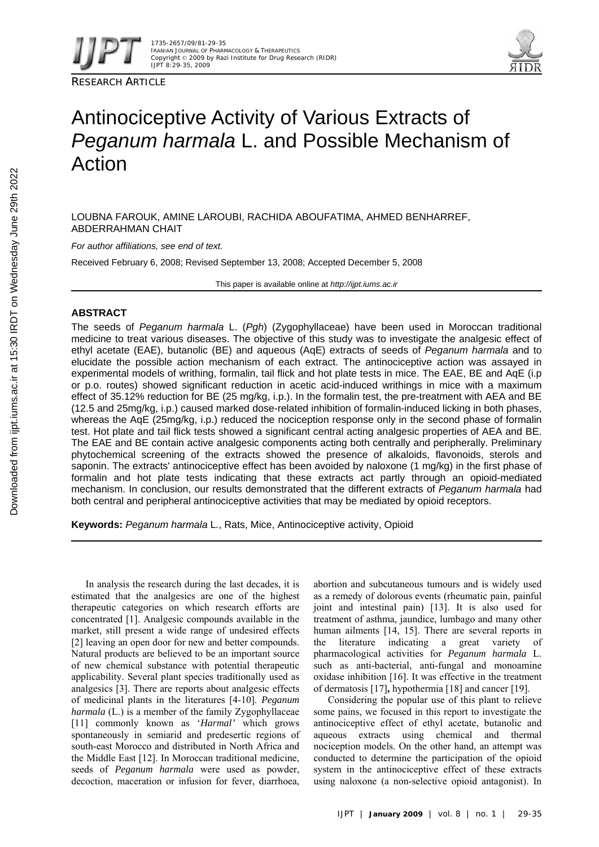

RESEARCH ARTICLE



# Antinociceptive Activity of Various Extracts of *Peganum harmala* L. and Possible Mechanism of Action

LOUBNA FAROUK, AMINE LAROUBI, RACHIDA ABOUFATIMA, AHMED BENHARREF, ABDERRAHMAN CHAIT

*For author affiliations, see end of text.* 

Received February 6, 2008; Revised September 13, 2008; Accepted December 5, 2008

This paper is available online at *http://ijpt.iums.ac.ir*

## **ABSTRACT**

The seeds of *Peganum harmala* L. (*Pgh*) (Zygophyllaceae) have been used in Moroccan traditional medicine to treat various diseases. The objective of this study was to investigate the analgesic effect of ethyl acetate (EAE), butanolic (BE) and aqueous (AqE) extracts of seeds of *Peganum harmala* and to elucidate the possible action mechanism of each extract. The antinociceptive action was assayed in experimental models of writhing, formalin, tail flick and hot plate tests in mice. The EAE, BE and AqE (i.p or p.o. routes) showed significant reduction in acetic acid-induced writhings in mice with a maximum effect of 35.12% reduction for BE (25 mg/kg, i.p.). In the formalin test, the pre-treatment with AEA and BE (12.5 and 25mg/kg, i.p.) caused marked dose-related inhibition of formalin-induced licking in both phases, whereas the AqE (25mg/kg, i.p.) reduced the nociception response only in the second phase of formalin test. Hot plate and tail flick tests showed a significant central acting analgesic properties of AEA and BE. The EAE and BE contain active analgesic components acting both centrally and peripherally. Preliminary phytochemical screening of the extracts showed the presence of alkaloids, flavonoids, sterols and saponin. The extracts' antinociceptive effect has been avoided by naloxone (1 mg/kg) in the first phase of formalin and hot plate tests indicating that these extracts act partly through an opioid-mediated mechanism. In conclusion, our results demonstrated that the different extracts of *Peganum harmala* had both central and peripheral antinociceptive activities that may be mediated by opioid receptors.

**Keywords:** *Peganum harmala* L*.*, Rats, Mice, Antinociceptive activity, Opioid

In analysis the research during the last decades, it is estimated that the analgesics are one of the highest therapeutic categories on which research efforts are concentrated [1]. Analgesic compounds available in the market, still present a wide range of undesired effects [2] leaving an open door for new and better compounds. Natural products are believed to be an important source of new chemical substance with potential therapeutic applicability. Several plant species traditionally used as analgesics [ 3]. There are reports about analgesic effects of medicinal plants in the literatures [ 4- 10]. *Peganum harmala* (L.) is a member of the family Zygophyllaceae [ 11] commonly known as '*Harmal'* which grows spontaneously in semiarid and predesertic regions of south-east Morocco and distributed in North Africa and the Middle East [ 12]. In Moroccan traditional medicine, seeds of *Peganum harmala* were used as powder, decoction, maceration or infusion for fever, diarrhoea,

abortion and subcutaneous tumours and is widely used as a remedy of dolorous events (rheumatic pain, painful joint and intestinal pain) [13]. It is also used for treatment of asthma, jaundice, lumbago and many other human ailments [14, 15]. There are several reports in the literature indicating a great variety of pharmacological activities for *Peganum harmala* L. such as anti-bacterial, anti-fungal and monoamine oxidase inhibition [16]. It was effective in the treatment of dermatosis [17]**,** hypothermia [18] and cancer [19].

Considering the popular use of this plant to relieve some pains, we focused in this report to investigate the antinociceptive effect of ethyl acetate, butanolic and aqueous extracts using chemical and thermal nociception models. On the other hand, an attempt was conducted to determine the participation of the opioid system in the antinociceptive effect of these extracts using naloxone (a non-selective opioid antagonist). In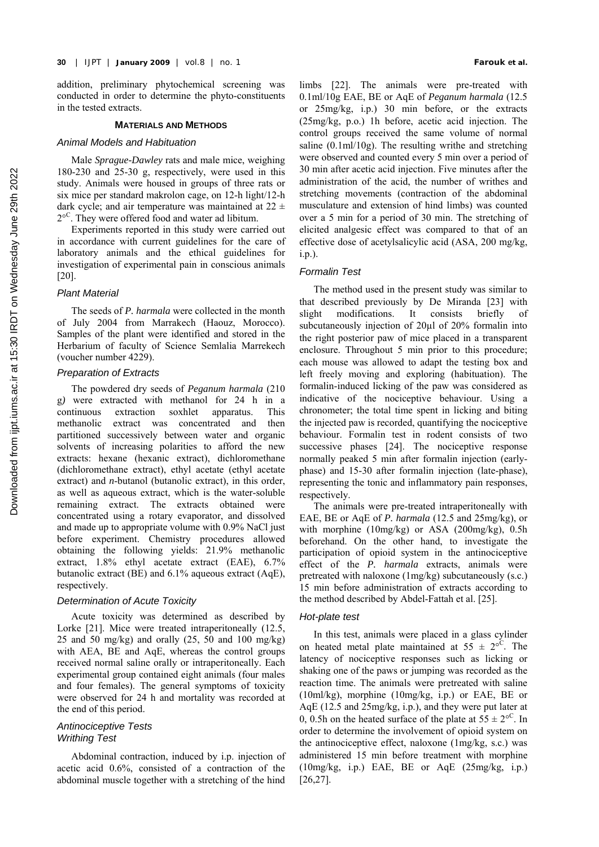addition, preliminary phytochemical screening was conducted in order to determine the phyto-constituents in the tested extracts.

#### **MATERIALS AND METHODS**

#### *Animal Models and Habituation*

Male *Sprague-Dawley* rats and male mice, weighing 180-230 and 25-30 g, respectively, were used in this study. Animals were housed in groups of three rats or six mice per standard makrolon cage, on 12-h light/12-h dark cycle; and air temperature was maintained at  $22 \pm$ 2<sup>oC</sup>. They were offered food and water ad libitum.

Experiments reported in this study were carried out in accordance with current guidelines for the care of laboratory animals and the ethical guidelines for investigation of experimental pain in conscious animals  $[20]$ .

## *Plant Material*

The seeds of *P. harmala* were collected in the month of July 2004 from Marrakech (Haouz, Morocco). Samples of the plant were identified and stored in the Herbarium of faculty of Science Semlalia Marrekech (voucher number 4229).

# *Preparation of Extracts*

The powdered dry seeds of *Peganum harmala* (210 g*)* were extracted with methanol for 24 h in a continuous extraction soxhlet apparatus. This methanolic extract was concentrated and then partitioned successively between water and organic solvents of increasing polarities to afford the new extracts: hexane (hexanic extract), dichloromethane (dichloromethane extract), ethyl acetate (ethyl acetate extract) and *n*-butanol (butanolic extract), in this order, as well as aqueous extract, which is the water-soluble remaining extract. The extracts obtained were concentrated using a rotary evaporator, and dissolved and made up to appropriate volume with 0.9% NaCl just before experiment. Chemistry procedures allowed obtaining the following yields: 21.9% methanolic extract, 1.8% ethyl acetate extract (EAE), 6.7% butanolic extract (BE) and 6.1% aqueous extract (AqE), respectively.

## *Determination of Acute Toxicity*

Acute toxicity was determined as described by Lorke  $[21]$ . Mice were treated intraperitoneally  $(12.5, 12.5)$ 25 and 50 mg/kg) and orally  $(25, 50$  and 100 mg/kg) with AEA, BE and AqE, whereas the control groups received normal saline orally or intraperitoneally. Each experimental group contained eight animals (four males and four females). The general symptoms of toxicity were observed for 24 h and mortality was recorded at the end of this period.

## *Antinociceptive Tests Writhing Test*

Abdominal contraction, induced by i.p. injection of acetic acid 0.6%, consisted of a contraction of the abdominal muscle together with a stretching of the hind

limbs [22]. The animals were pre-treated with 0.1ml/10g EAE, BE or AqE of *Peganum harmala* (12.5 or 25mg/kg, i.p.) 30 min before, or the extracts (25mg/kg, p.o.) 1h before, acetic acid injection. The control groups received the same volume of normal saline (0.1ml/10g). The resulting writhe and stretching were observed and counted every 5 min over a period of 30 min after acetic acid injection. Five minutes after the administration of the acid, the number of writhes and stretching movements (contraction of the abdominal musculature and extension of hind limbs) was counted over a 5 min for a period of 30 min. The stretching of elicited analgesic effect was compared to that of an effective dose of acetylsalicylic acid (ASA, 200 mg/kg, i.p.).

## *Formalin Test*

The method used in the present study was similar to that described previously by De Miranda [23] with slight modifications. It consists briefly of subcutaneously injection of 20ul of 20% formalin into the right posterior paw of mice placed in a transparent enclosure. Throughout 5 min prior to this procedure; each mouse was allowed to adapt the testing box and left freely moving and exploring (habituation). The formalin-induced licking of the paw was considered as indicative of the nociceptive behaviour. Using a chronometer; the total time spent in licking and biting the injected paw is recorded, quantifying the nociceptive behaviour. Formalin test in rodent consists of two successive phases [24]. The nociceptive response normally peaked 5 min after formalin injection (earlyphase) and 15-30 after formalin injection (late-phase), representing the tonic and inflammatory pain responses, respectively.

The animals were pre-treated intraperitoneally with EAE, BE or AqE of *P. harmala* (12.5 and 25mg/kg), or with morphine (10mg/kg) or ASA (200mg/kg), 0.5h beforehand. On the other hand, to investigate the participation of opioid system in the antinociceptive effect of the *P. harmala* extracts, animals were pretreated with naloxone (1mg/kg) subcutaneously (s.c.) 15 min before administration of extracts according to the method described by Abdel-Fattah et al. [25].

## *Hot-plate test*

In this test, animals were placed in a glass cylinder on heated metal plate maintained at  $55 \pm 2^{\circ}$ . The latency of nociceptive responses such as licking or shaking one of the paws or jumping was recorded as the reaction time. The animals were pretreated with saline (10ml/kg), morphine (10mg/kg, i.p.) or EAE, BE or AqE (12.5 and 25mg/kg, i.p.), and they were put later at 0, 0.5h on the heated surface of the plate at  $55 \pm 2^{\circ}$ <sup>C</sup>. In order to determine the involvement of opioid system on the antinociceptive effect, naloxone (1mg/kg, s.c.) was administered 15 min before treatment with morphine (10mg/kg, i.p.) EAE, BE or AqE (25mg/kg, i.p.) [26,27].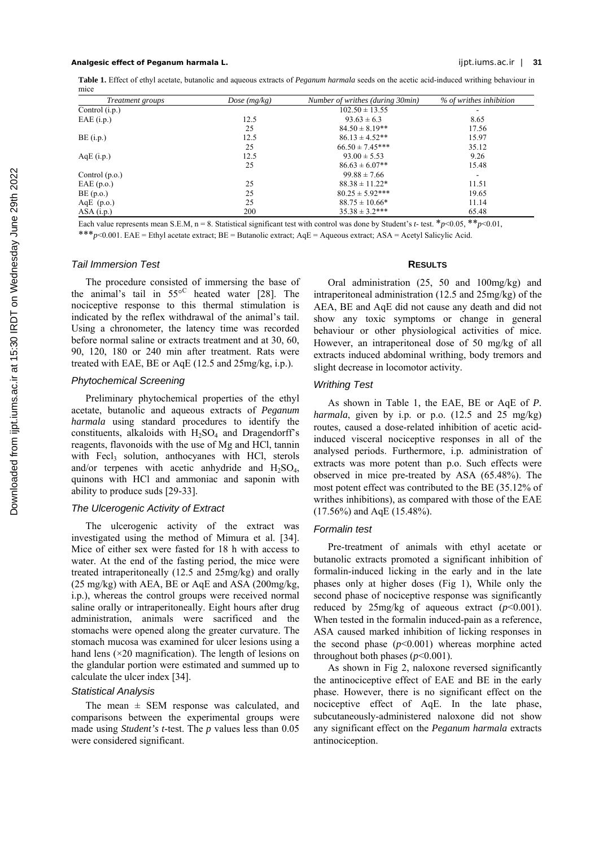## **Analgesic effect of** *Peganum harmala* **L.** ijpt.iums.ac.ir | **31**

**Table 1.** Effect of ethyl acetate, butanolic and aqueous extracts of *Peganum harmala* seeds on the acetic acid-induced writhing behaviour in mice

| <i>Treatment groups</i> | Dose $(mg/kg)$ | Number of writhes (during 30min) | % of writhes inhibition  |  |
|-------------------------|----------------|----------------------------------|--------------------------|--|
| Control $(i.p.)$        |                | $102.50 \pm 13.55$               |                          |  |
| $EAE$ (i.p.)            | 12.5           | $93.63 \pm 6.3$                  | 8.65                     |  |
|                         | 25             | $84.50 \pm 8.19**$               | 17.56                    |  |
| $BE$ (i.p.)             | 12.5           | $86.13 \pm 4.52**$               | 15.97                    |  |
|                         | 25             | $66.50 \pm 7.45***$              | 35.12                    |  |
| $AqE$ (i.p.)            | 12.5           | $93.00 \pm 5.53$                 | 9.26                     |  |
|                         | 25             | $86.63 \pm 6.07**$               | 15.48                    |  |
| Control $(p.o.)$        |                | $99.88 \pm 7.66$                 | $\overline{\phantom{a}}$ |  |
| EAE(p.o.)               | 25             | $88.38 \pm 11.22^*$              | 11.51                    |  |
| $BE$ (p.o.)             | 25             | $80.25 \pm 5.92$ ***             | 19.65                    |  |
| AqE $(p.o.)$            | 25             | $88.75 \pm 10.66*$               | 11.14                    |  |
| ASA(i.p.)               | 200            | $35.38 \pm 3.2***$               | 65.48                    |  |

Each value represents mean S.E.M, n = 8. Statistical significant test with control was done by Student's *t*- test. \**p*<0.05, \*\**p*<0.01, \*\*\**p*<0.001. EAE = Ethyl acetate extract; BE = Butanolic extract; AqE = Aqueous extract; ASA = Acetyl Salicylic Acid.

## *Tail Immersion Test*

The procedure consisted of immersing the base of the animal's tail in  $55^{\circ}$  heated water [28]. The nociceptive response to this thermal stimulation is indicated by the reflex withdrawal of the animal's tail. Using a chronometer, the latency time was recorded before normal saline or extracts treatment and at 30, 60, 90, 120, 180 or 240 min after treatment. Rats were treated with EAE, BE or AqE (12.5 and 25mg/kg, i.p.).

# *Phytochemical Screening*

Preliminary phytochemical properties of the ethyl acetate, butanolic and aqueous extracts of *Peganum harmala* using standard procedures to identify the constituents, alkaloids with  $H_2SO_4$  and Dragendorff's reagents, flavonoids with the use of Mg and HCl, tannin with Fecl<sub>3</sub> solution, anthocyanes with HCl, sterols and/or terpenes with acetic anhydride and  $H_2SO_4$ , quinons with HCl and ammoniac and saponin with ability to produce suds [29-33].

#### *The Ulcerogenic Activity of Extract*

The ulcerogenic activity of the extract was investigated using the method of Mimura et al. [34]. Mice of either sex were fasted for 18 h with access to water. At the end of the fasting period, the mice were treated intraperitoneally (12.5 and 25mg/kg) and orally (25 mg/kg) with AEA, BE or AqE and ASA (200mg/kg, i.p.), whereas the control groups were received normal saline orally or intraperitoneally. Eight hours after drug administration, animals were sacrificed and the stomachs were opened along the greater curvature. The stomach mucosa was examined for ulcer lesions using a hand lens  $(\times 20$  magnification). The length of lesions on the glandular portion were estimated and summed up to calculate the ulcer index [ 34].

#### *Statistical Analysis*

The mean  $\pm$  SEM response was calculated, and comparisons between the experimental groups were made using *Student's t*-test. The *p* values less than 0.05 were considered significant.

## **RESULTS**

Oral administration (25, 50 and 100mg/kg) and intraperitoneal administration (12.5 and 25mg/kg) of the AEA, BE and AqE did not cause any death and did not show any toxic symptoms or change in general behaviour or other physiological activities of mice. However, an intraperitoneal dose of 50 mg/kg of all extracts induced abdominal writhing, body tremors and slight decrease in locomotor activity.

## *Writhing Test*

As shown in Table 1, the EAE, BE or AqE of *P. harmala*, given by i.p. or p.o. (12.5 and 25 mg/kg) routes, caused a dose-related inhibition of acetic acidinduced visceral nociceptive responses in all of the analysed periods. Furthermore, i.p. administration of extracts was more potent than p.o. Such effects were observed in mice pre-treated by ASA (65.48%). The most potent effect was contributed to the BE (35.12% of writhes inhibitions), as compared with those of the EAE (17.56%) and AqE (15.48%).

## *Formalin test*

Pre-treatment of animals with ethyl acetate or butanolic extracts promoted a significant inhibition of formalin-induced licking in the early and in the late phases only at higher doses (Fig 1), While only the second phase of nociceptive response was significantly reduced by  $25mg/kg$  of aqueous extract ( $p<0.001$ ). When tested in the formalin induced-pain as a reference, ASA caused marked inhibition of licking responses in the second phase  $(p<0.001)$  whereas morphine acted throughout both phases  $(p<0.001)$ .

As shown in Fig 2, naloxone reversed significantly the antinociceptive effect of EAE and BE in the early phase. However, there is no significant effect on the nociceptive effect of AqE. In the late phase, subcutaneously-administered naloxone did not show any significant effect on the *Peganum harmala* extracts antinociception.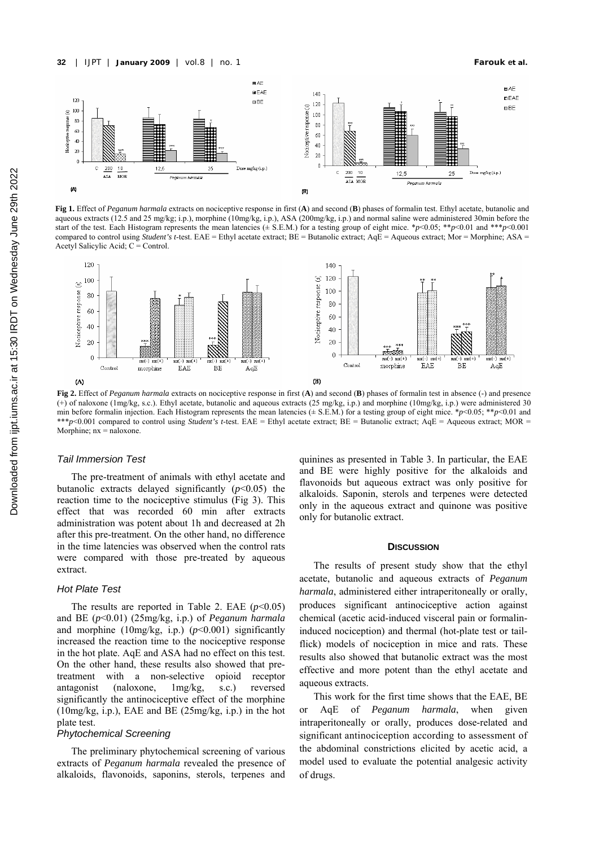

**Fig 1.** Effect of *Peganum harmala* extracts on nociceptive response in first (**A**) and second (**B**) phases of formalin test. Ethyl acetate, butanolic and aqueous extracts (12.5 and 25 mg/kg; i.p.), morphine (10mg/kg, i.p.), ASA (200mg/kg, i.p.) and normal saline were administered 30min before the start of the test. Each Histogram represents the mean latencies ( $\pm$  S.E.M.) for a testing group of eight mice. \**p*<0.05; \*\**p*<0.01 and \*\**\*p*<0.001 compared to control using *Student's t*-test. EAE = Ethyl acetate extract; BE = Butanolic extract; AqE = Aqueous extract; Mor = Morphine; ASA = Acetyl Salicylic Acid; C = Control.



**Fig 2.** Effect of *Peganum harmala* extracts on nociceptive response in first (**A**) and second (**B**) phases of formalin test in absence (-) and presence (+) of naloxone (1mg/kg, s.c.). Ethyl acetate, butanolic and aqueous extracts (25 mg/kg, i.p.) and morphine (10mg/kg, i.p.) were administered 30 min before formalin injection. Each Histogram represents the mean latencies (± S.E.M.) for a testing group of eight mice. \**p*<0.05; \*\**p*<0.01 and \*\*\**p*<0.001 compared to control using *Student's t*-test. EAE = Ethyl acetate extract; BE = Butanolic extract; AqE = Aqueous extract; MOR = Morphine;  $nx =$  naloxone.

#### *Tail Immersion Test*

The pre-treatment of animals with ethyl acetate and butanolic extracts delayed significantly  $(p<0.05)$  the reaction time to the nociceptive stimulus (Fig 3). This effect that was recorded 60 min after extracts administration was potent about 1h and decreased at 2h after this pre-treatment. On the other hand, no difference in the time latencies was observed when the control rats were compared with those pre-treated by aqueous extract.

# *Hot Plate Test*

The results are reported in Table 2. EAE  $(p<0.05)$ and BE (*p*<0.01) (25mg/kg, i.p.) of *Peganum harmala* and morphine (10mg/kg, i.p.)  $(p<0.001)$  significantly increased the reaction time to the nociceptive response in the hot plate. AqE and ASA had no effect on this test. On the other hand, these results also showed that pretreatment with a non-selective opioid receptor antagonist (naloxone, 1mg/kg, s.c.) reversed significantly the antinociceptive effect of the morphine (10mg/kg, i.p.), EAE and BE (25mg/kg, i.p.) in the hot plate test.

## *Phytochemical Screening*

The preliminary phytochemical screening of various extracts of *Peganum harmala* revealed the presence of alkaloids, flavonoids, saponins, sterols, terpenes and

quinines as presented in Table 3. In particular, the EAE and BE were highly positive for the alkaloids and flavonoids but aqueous extract was only positive for alkaloids. Saponin, sterols and terpenes were detected only in the aqueous extract and quinone was positive only for butanolic extract.

#### **DISCUSSION**

The results of present study show that the ethyl acetate, butanolic and aqueous extracts of *Peganum harmala*, administered either intraperitoneally or orally, produces significant antinociceptive action against chemical (acetic acid-induced visceral pain or formalininduced nociception) and thermal (hot-plate test or tailflick) models of nociception in mice and rats. These results also showed that butanolic extract was the most effective and more potent than the ethyl acetate and aqueous extracts.

This work for the first time shows that the EAE, BE or AqE of *Peganum harmala*, when given intraperitoneally or orally, produces dose-related and significant antinociception according to assessment of the abdominal constrictions elicited by acetic acid, a model used to evaluate the potential analgesic activity of drugs.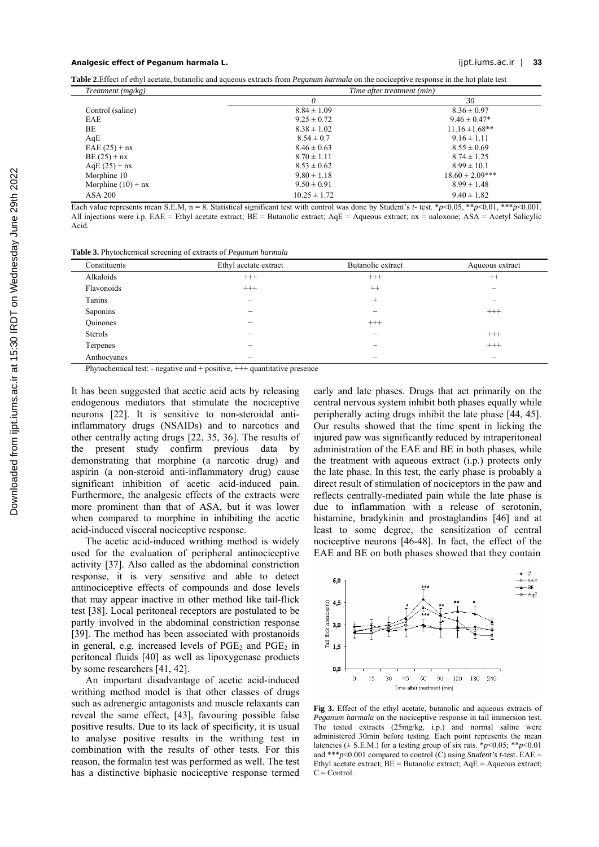## **Analgesic effect of** *Peganum harmala* **L.** ijpt.iums.ac.ir | **33**

**Table 2.**Effect of ethyl acetate, butanolic and aqueous extracts from *Peganum harmala* on the nociceptive response in the hot plate test

| Treatment $(mg/kg)$  |                  | Time after treatment (min) |
|----------------------|------------------|----------------------------|
|                      | 0                | 30                         |
| Control (saline)     | $8.84 \pm 1.09$  | $8.36 \pm 0.97$            |
| EAE                  | $9.25 \pm 0.72$  | $9.46 \pm 0.47*$           |
| BE                   | $8.38 \pm 1.02$  | $11.16 \pm 1.68$ **        |
| AqE                  | $8.54 \pm 0.7$   | $9.16 \pm 1.11$            |
| $EAE(25) + nx$       | $8.46 \pm 0.63$  | $8.55 \pm 0.69$            |
| $BE(25) + nx$        | $8.70 \pm 1.11$  | $8.74 \pm 1.25$            |
| $AqE(25) + nx$       | $8.53 \pm 0.62$  | $8.99 \pm 10.1$            |
| Morphine 10          | $9.80 \pm 1.18$  | $18.60 \pm 2.09$ ***       |
| Morphine $(10)$ + nx | $9.50 \pm 0.91$  | $8.99 \pm 1.48$            |
| ASA 200              | $10.25 \pm 1.72$ | $9.40 \pm 1.82$            |

Each value represents mean S.E.M, n = 8. Statistical significant test with control was done by Student's *t*- test. \**p*<0.05, \*\**p*<0.01, \*\*\**p*<0.001 All injections were i.p. EAE = Ethyl acetate extract; BE = Butanolic extract; AqE = Aqueous extract; nx = naloxone; ASA = Acetyl Salicylic Acid.

**Table 3.** Phytochemical screening of extracts of *Peganum harmala*

| Constituents | Ethyl acetate extract | Butanolic extract | Aqueous extract |
|--------------|-----------------------|-------------------|-----------------|
| Alkaloids    | $^{+++}$              | $^{+++}$          | $^{++}$         |
| Flavonoids   | $^{+++}$              | $^{++}$           | -               |
| Tanins       | -                     | $^{+}$            | -               |
| Saponins     | -                     | -                 | $^{+++}$        |
| Quinones     | -                     | $^{+++}$          |                 |
| Sterols      |                       | -                 | $^{+++}$        |
| Terpenes     |                       | -                 | $^{+++}$        |
| Anthocyanes  |                       | -                 | -               |

Phytochemical test: - negative and + positive, +++ quantitative presence

It has been suggested that acetic acid acts by releasing endogenous mediators that stimulate the nociceptive neurons [22]. It is sensitive to non-steroidal antiinflammatory drugs (NSAIDs) and to narcotics and other centrally acting drugs [ 22, 35, 36]. The results of the present study confirm previous data by demonstrating that morphine (a narcotic drug) and aspirin (a non-steroid anti-inflammatory drug) cause significant inhibition of acetic acid-induced pain. Furthermore, the analgesic effects of the extracts were more prominent than that of ASA, but it was lower when compared to morphine in inhibiting the acetic acid-induced visceral nociceptive response.

The acetic acid-induced writhing method is widely used for the evaluation of peripheral antinociceptive activity [ 37]. Also called as the abdominal constriction response, it is very sensitive and able to detect antinociceptive effects of compounds and dose levels that may appear inactive in other method like tail-flick test [ 38]. Local peritoneal receptors are postulated to be partly involved in the abdominal constriction response [39]. The method has been associated with prostanoids in general, e.g. increased levels of  $PGE<sub>2</sub>$  and  $PGE<sub>2</sub>$  in peritoneal fluids [ 40] as well as lipoxygenase products by some researchers [41, 42].

An important disadvantage of acetic acid-induced writhing method model is that other classes of drugs such as adrenergic antagonists and muscle relaxants can reveal the same effect, [43], favouring possible false positive results. Due to its lack of specificity, it is usual to analyse positive results in the writhing test in combination with the results of other tests. For this reason, the formalin test was performed as well. The test has a distinctive biphasic nociceptive response termed

early and late phases. Drugs that act primarily on the central nervous system inhibit both phases equally while peripherally acting drugs inhibit the late phase [ 44, 45]. Our results showed that the time spent in licking the injured paw was significantly reduced by intraperitoneal administration of the EAE and BE in both phases, while the treatment with aqueous extract (i.p.) protects only the late phase. In this test, the early phase is probably a direct result of stimulation of nociceptors in the paw and reflects centrally-mediated pain while the late phase is due to inflammation with a release of serotonin, histamine, bradykinin and prostaglandins [46] and at least to some degree, the sensitization of central nociceptive neurons [46-48]. In fact, the effect of the EAE and BE on both phases showed that they contain



**Fig 3.** Effect of the ethyl acetate, butanolic and aqueous extracts of *Peganum harmala* on the nociceptive response in tail immersion test. The tested extracts (25mg/kg, i.p.) and normal saline were administered 30min before testing. Each point represents the mean latencies ( $\pm$  S.E.M.) for a testing group of six rats. \**p*<0.05; \*\**p*<0.01 and \*\*\* $p$ <0.001 compared to control (C) using *Student's t*-test. EAE = Ethyl acetate extract;  $BE = Butanolic extract$ ;  $AqE = Aqueous extract$ ;  $C =$ Control.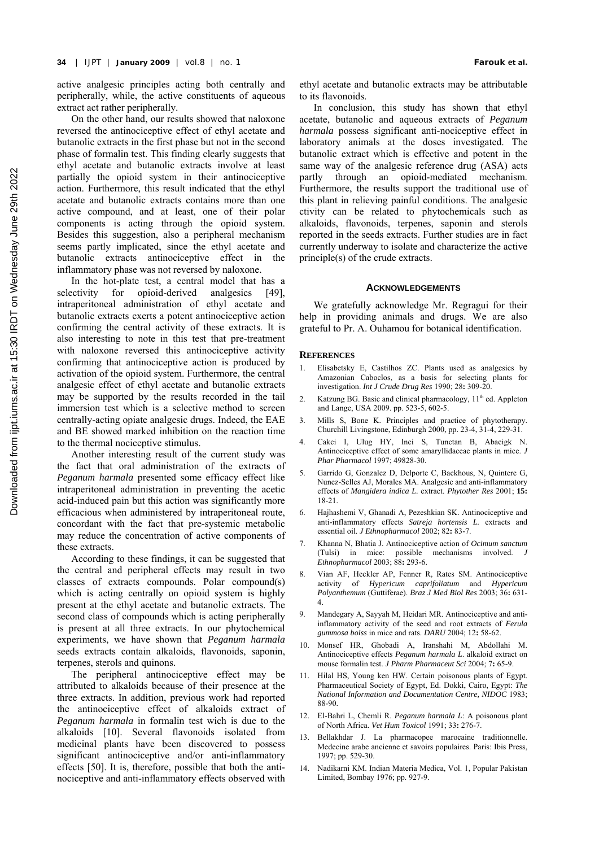active analgesic principles acting both centrally and peripherally, while, the active constituents of aqueous extract act rather peripherally.

On the other hand, our results showed that naloxone reversed the antinociceptive effect of ethyl acetate and butanolic extracts in the first phase but not in the second phase of formalin test. This finding clearly suggests that ethyl acetate and butanolic extracts involve at least partially the opioid system in their antinociceptive action. Furthermore, this result indicated that the ethyl acetate and butanolic extracts contains more than one active compound, and at least, one of their polar components is acting through the opioid system. Besides this suggestion, also a peripheral mechanism seems partly implicated, since the ethyl acetate and butanolic extracts antinociceptive effect in the inflammatory phase was not reversed by naloxone.

In the hot-plate test, a central model that has a selectivity for opioid-derived analgesics [49], intraperitoneal administration of ethyl acetate and butanolic extracts exerts a potent antinociceptive action confirming the central activity of these extracts. It is also interesting to note in this test that pre-treatment with naloxone reversed this antinociceptive activity confirming that antinociceptive action is produced by activation of the opioid system. Furthermore, the central analgesic effect of ethyl acetate and butanolic extracts may be supported by the results recorded in the tail immersion test which is a selective method to screen centrally-acting opiate analgesic drugs. Indeed, the EAE and BE showed marked inhibition on the reaction time to the thermal nociceptive stimulus.

Another interesting result of the current study was the fact that oral administration of the extracts of *Peganum harmala* presented some efficacy effect like intraperitoneal administration in preventing the acetic acid-induced pain but this action was significantly more efficacious when administered by intraperitoneal route, concordant with the fact that pre-systemic metabolic may reduce the concentration of active components of these extracts.

According to these findings, it can be suggested that the central and peripheral effects may result in two classes of extracts compounds. Polar compound(s) which is acting centrally on opioid system is highly present at the ethyl acetate and butanolic extracts. The second class of compounds which is acting peripherally is present at all three extracts. In our phytochemical experiments, we have shown that *Peganum harmala* seeds extracts contain alkaloids, flavonoids, saponin, terpenes, sterols and quinons.

The peripheral antinociceptive effect may be attributed to alkaloids because of their presence at the three extracts. In addition, previous work had reported the antinociceptive effect of alkaloids extract of *Peganum harmala* in formalin test wich is due to the alkaloids [10]. Several flavonoids isolated from medicinal plants have been discovered to possess significant antinociceptive and/or anti-inflammatory effects [ 50]. It is, therefore, possible that both the antinociceptive and anti-inflammatory effects observed with

ethyl acetate and butanolic extracts may be attributable to its flavonoids.

In conclusion, this study has shown that ethyl acetate, butanolic and aqueous extracts of *Peganum harmala* possess significant anti-nociceptive effect in laboratory animals at the doses investigated. The butanolic extract which is effective and potent in the same way of the analgesic reference drug (ASA) acts partly through an opioid-mediated mechanism. Furthermore, the results support the traditional use of this plant in relieving painful conditions. The analgesic ctivity can be related to phytochemicals such as alkaloids, flavonoids, terpenes, saponin and sterols reported in the seeds extracts. Further studies are in fact currently underway to isolate and characterize the active principle(s) of the crude extracts.

#### **ACKNOWLEDGEMENTS**

We gratefully acknowledge Mr. Regragui for their help in providing animals and drugs. We are also grateful to Pr. A. Ouhamou for botanical identification.

#### **REFERENCES**

- 1. Elisabetsky E, Castilhos ZC. Plants used as analgesics by Amazonian Caboclos, as a basis for selecting plants for investigation. *Int J Crude Drug Res* 1990; 28**:** 309-20.
- 2. Katzung BG. Basic and clinical pharmacology, 11<sup>th</sup> ed. Appleton and Lange, USA 2009. pp. 523-5, 602-5.
- Mills S, Bone K. Principles and practice of phytotherapy. Churchill Livingstone, Edinburgh 2000, pp. 23-4, 31-4, 229-31.
- 4. Cakci I, Ulug HY, Inci S, Tunctan B, Abacigk N. Antinociceptive effect of some amaryllidaceae plants in mice. *J Phar Pharmacol* 1997; 49828-30.
- 5. Garrido G, Gonzalez D, Delporte C, Backhous, N, Quintere G, Nunez-Selles AJ, Morales MA. Analgesic and anti-inflammatory effects of *Mangidera indica L.* extract. *Phytother Res* 2001; **15:**  18-21.
- 6. Hajhashemi V, Ghanadi A, Pezeshkian SK. Antinociceptive and anti-inflammatory effects *Satreja hortensis L.* extracts and essential oil. *J Ethnopharmacol* 2002; 82**:** 83-7.
- 7. Khanna N, Bhatia J. Antinociceptive action of *Ocimum sanctum* (Tulsi) in mice: possible mechanisms involved. *J Ethnopharmacol* 2003; 88**:** 293-6.
- 8. Vian AF, Heckler AP, Fenner R, Rates SM. Antinociceptive activity of *Hypericum caprifoliatum* and *Hypericum Polyanthemum* (Guttiferae). *Braz J Med Biol Res* 2003; 36**:** 631- 4.
- 9. Mandegary A, Sayyah M, Heidari MR. Antinociceptive and antiinflammatory activity of the seed and root extracts of *Ferula gummosa boiss* in mice and rats. *DARU* 2004; 12**:** 58-62.
- 10. Monsef HR, Ghobadi A, Iranshahi M, Abdollahi M. Antinociceptive effects *Peganum harmala L*. alkaloid extract on mouse formalin test. *J Pharm Pharmaceut Sci* 2004; 7**:** 65-9.
- 11. Hilal HS, Young ken HW. Certain poisonous plants of Egypt. Pharmaceutical Society of Egypt, Ed. Dokki, Cairo, Egypt: *The National Information and Documentation Centre, NIDOC* 1983; 88-90.
- 12. El-Bahri L, Chemli R. *Peganum harmala L*: A poisonous plant of North Africa. *Vet Hum Toxicol* 1991; 33**:** 276-7.
- 13. Bellakhdar J. La pharmacopee marocaine traditionnelle. Medecine arabe ancienne et savoirs populaires. Paris: Ibis Press, 1997; pp. 529-30.
- 14. Nadikarni KM. Indian Materia Medica, Vol. 1, Popular Pakistan Limited, Bombay 1976; pp. 927-9.